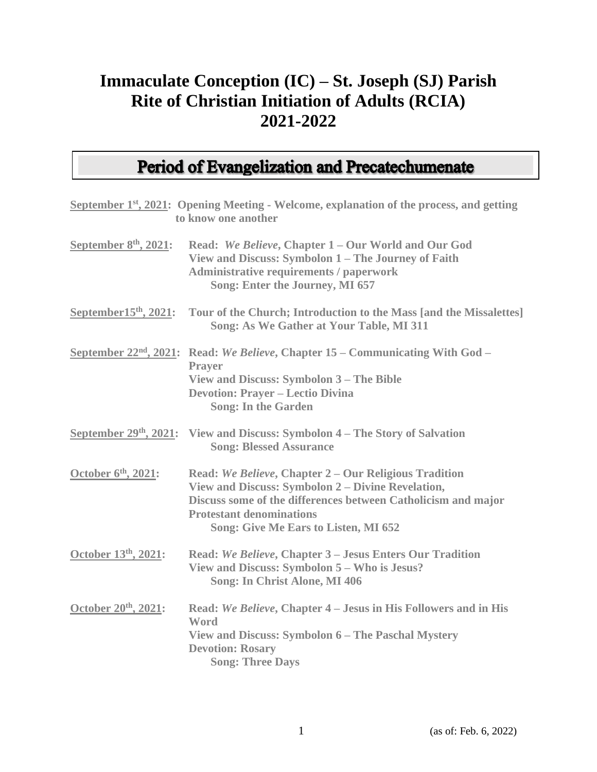## **Immaculate Conception (IC) – St. Joseph (SJ) Parish Rite of Christian Initiation of Adults (RCIA) 2021-2022**

### **Period of Evangelization and Precatechumenate**

|                          | September 1 <sup>st</sup> , 2021: Opening Meeting - Welcome, explanation of the process, and getting<br>to know one another                                                                                                                            |
|--------------------------|--------------------------------------------------------------------------------------------------------------------------------------------------------------------------------------------------------------------------------------------------------|
| September $8th$ , 2021:  | Read: We Believe, Chapter 1 – Our World and Our God<br>View and Discuss: Symbolon 1 - The Journey of Faith<br><b>Administrative requirements / paperwork</b><br>Song: Enter the Journey, MI 657                                                        |
| September $15th$ , 2021: | Tour of the Church; Introduction to the Mass [and the Missalettes]<br>Song: As We Gather at Your Table, MI 311                                                                                                                                         |
|                          | September 22 <sup>nd</sup> , 2021: Read: We Believe, Chapter 15 – Communicating With God –<br><b>Prayer</b><br>View and Discuss: Symbolon 3 - The Bible<br><b>Devotion: Prayer - Lectio Divina</b><br><b>Song: In the Garden</b>                       |
|                          | September $29th$ , $2021$ : View and Discuss: Symbolon 4 – The Story of Salvation<br><b>Song: Blessed Assurance</b>                                                                                                                                    |
| October 6th, 2021:       | Read: We Believe, Chapter 2 – Our Religious Tradition<br>View and Discuss: Symbolon 2 – Divine Revelation,<br>Discuss some of the differences between Catholicism and major<br><b>Protestant denominations</b><br>Song: Give Me Ears to Listen, MI 652 |
| October 13th, 2021:      | Read: We Believe, Chapter 3 - Jesus Enters Our Tradition<br>View and Discuss: Symbolon 5 - Who is Jesus?<br><b>Song: In Christ Alone, MI 406</b>                                                                                                       |
| October 20th, 2021:      | Read: We Believe, Chapter 4 – Jesus in His Followers and in His<br>Word<br>View and Discuss: Symbolon 6 - The Paschal Mystery<br><b>Devotion: Rosary</b><br><b>Song: Three Days</b>                                                                    |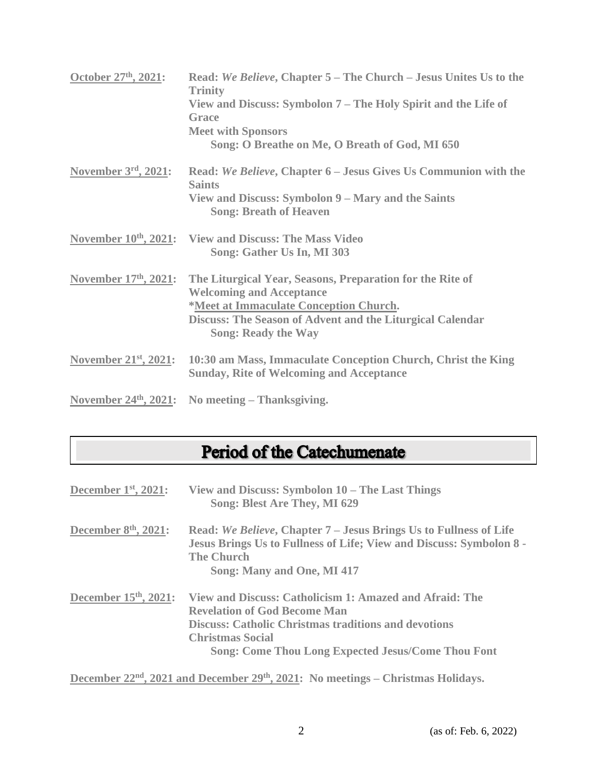| October 27th, 2021:        | Read: We Believe, Chapter 5 – The Church – Jesus Unites Us to the<br><b>Trinity</b><br>View and Discuss: Symbolon 7 – The Holy Spirit and the Life of<br><b>Grace</b><br><b>Meet with Sponsors</b><br>Song: O Breathe on Me, O Breath of God, MI 650 |
|----------------------------|------------------------------------------------------------------------------------------------------------------------------------------------------------------------------------------------------------------------------------------------------|
| November $3rd$ , 2021:     | Read: We Believe, Chapter 6 – Jesus Gives Us Communion with the<br><b>Saints</b><br>View and Discuss: Symbolon 9 – Mary and the Saints<br><b>Song: Breath of Heaven</b>                                                                              |
|                            | November 10th, 2021: View and Discuss: The Mass Video<br>Song: Gather Us In, MI 303                                                                                                                                                                  |
| November $17th$ , $2021$ : | The Liturgical Year, Seasons, Preparation for the Rite of<br><b>Welcoming and Acceptance</b><br>*Meet at Immaculate Conception Church.<br><b>Discuss: The Season of Advent and the Liturgical Calendar</b><br><b>Song: Ready the Way</b>             |
|                            | November 21 <sup>st</sup> , 2021: 10:30 am Mass, Immaculate Conception Church, Christ the King<br><b>Sunday, Rite of Welcoming and Acceptance</b>                                                                                                    |
|                            | November $24th$ , $2021$ : No meeting – Thanksgiving.                                                                                                                                                                                                |

# Period of the Catechumenate

| December $1st$ , 2021:            | View and Discuss: Symbolon 10 – The Last Things<br>Song: Blest Are They, MI 629                                                                                                                                                                       |
|-----------------------------------|-------------------------------------------------------------------------------------------------------------------------------------------------------------------------------------------------------------------------------------------------------|
| December 8 <sup>th</sup> , 2021:  | Read: We Believe, Chapter 7 – Jesus Brings Us to Fullness of Life<br><b>Jesus Brings Us to Fullness of Life; View and Discuss: Symbolon 8 -</b><br><b>The Church</b><br>Song: Many and One, MI 417                                                    |
| December 15 <sup>th</sup> , 2021: | View and Discuss: Catholicism 1: Amazed and Afraid: The<br><b>Revelation of God Become Man</b><br><b>Discuss: Catholic Christmas traditions and devotions</b><br><b>Christmas Social</b><br><b>Song: Come Thou Long Expected Jesus/Come Thou Font</b> |

**December 22nd, 2021 and December 29th, 2021: No meetings – Christmas Holidays.**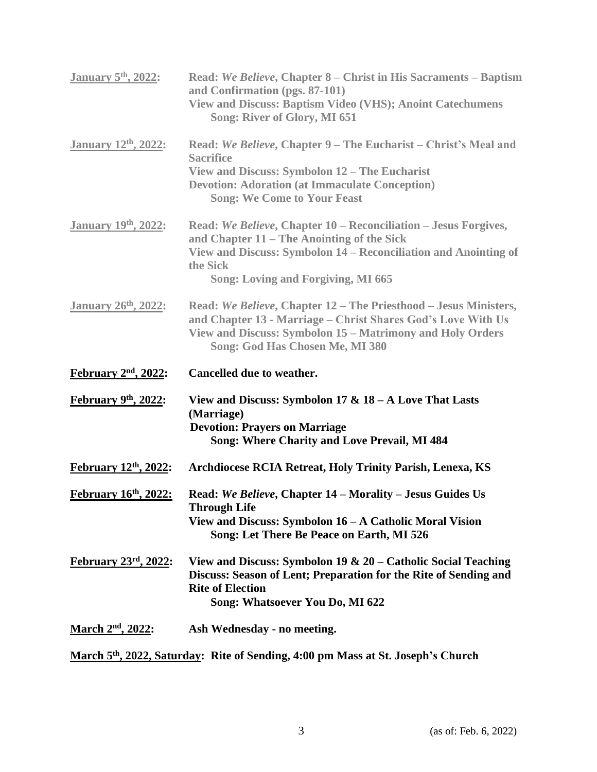| <b>January 5th, 2022:</b>   | Read: We Believe, Chapter 8 – Christ in His Sacraments – Baptism<br>and Confirmation (pgs. 87-101)<br><b>View and Discuss: Baptism Video (VHS); Anoint Catechumens</b><br>Song: River of Glory, MI 651                                    |
|-----------------------------|-------------------------------------------------------------------------------------------------------------------------------------------------------------------------------------------------------------------------------------------|
| <b>January 12th, 2022:</b>  | Read: We Believe, Chapter 9 - The Eucharist - Christ's Meal and<br><b>Sacrifice</b><br>View and Discuss: Symbolon 12 – The Eucharist<br><b>Devotion: Adoration (at Immaculate Conception)</b><br><b>Song: We Come to Your Feast</b>       |
| <b>January 19th, 2022:</b>  | Read: We Believe, Chapter 10 – Reconciliation – Jesus Forgives,<br>and Chapter 11 – The Anointing of the Sick<br>View and Discuss: Symbolon 14 – Reconciliation and Anointing of<br>the Sick<br><b>Song: Loving and Forgiving, MI 665</b> |
| <b>January 26th</b> , 2022: | Read: We Believe, Chapter 12 – The Priesthood – Jesus Ministers,<br>and Chapter 13 - Marriage - Christ Shares God's Love With Us<br>View and Discuss: Symbolon 15 – Matrimony and Holy Orders<br>Song: God Has Chosen Me, MI 380          |
|                             |                                                                                                                                                                                                                                           |
| February 2nd, 2022:         | Cancelled due to weather.                                                                                                                                                                                                                 |
| February 9th, 2022:         | View and Discuss: Symbolon 17 & $18 - A$ Love That Lasts<br>(Marriage)<br><b>Devotion: Prayers on Marriage</b><br>Song: Where Charity and Love Prevail, MI 484                                                                            |
| February 12th, 2022:        | Archdiocese RCIA Retreat, Holy Trinity Parish, Lenexa, KS                                                                                                                                                                                 |
| February 16th, 2022:        | Read: We Believe, Chapter 14 - Morality - Jesus Guides Us<br>Through Life<br>View and Discuss: Symbolon 16 – A Catholic Moral Vision<br>Song: Let There Be Peace on Earth, MI 526                                                         |
| <b>February 23rd, 2022:</b> | View and Discuss: Symbolon 19 & $20$ – Catholic Social Teaching<br>Discuss: Season of Lent; Preparation for the Rite of Sending and<br><b>Rite of Election</b><br>Song: Whatsoever You Do, MI 622                                         |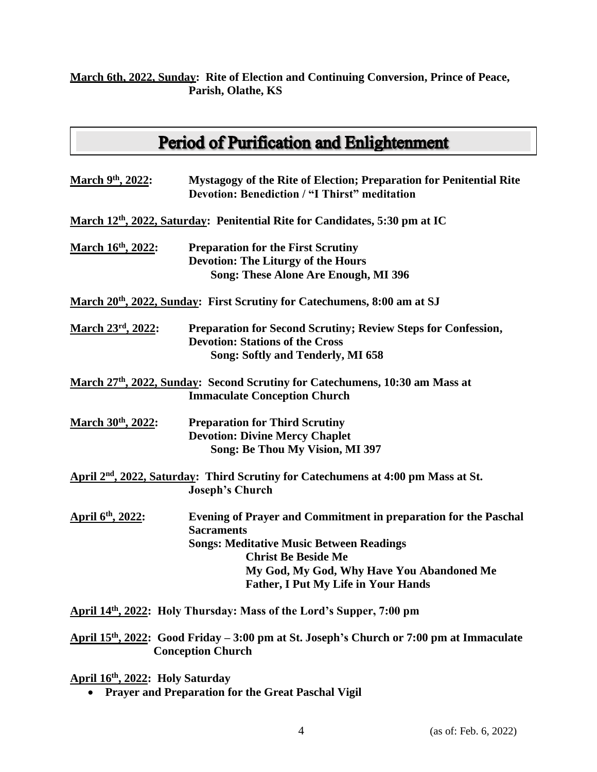#### **March 6th, 2022, Sunday: Rite of Election and Continuing Conversion, Prince of Peace, Parish, Olathe, KS**

### **Period of Purification and Enlightenment**

| Mystagogy of the Rite of Election; Preparation for Penitential Rite<br><b>Devotion: Benediction / "I Thirst" meditation</b>                                                                                                                                             |
|-------------------------------------------------------------------------------------------------------------------------------------------------------------------------------------------------------------------------------------------------------------------------|
| March 12th, 2022, Saturday: Penitential Rite for Candidates, 5:30 pm at IC                                                                                                                                                                                              |
| <b>Preparation for the First Scrutiny</b><br><b>Devotion: The Liturgy of the Hours</b>                                                                                                                                                                                  |
| Song: These Alone Are Enough, MI 396                                                                                                                                                                                                                                    |
| March 20 <sup>th</sup> , 2022, Sunday: First Scrutiny for Catechumens, 8:00 am at SJ                                                                                                                                                                                    |
| <b>Preparation for Second Scrutiny; Review Steps for Confession,</b><br><b>Devotion: Stations of the Cross</b><br>Song: Softly and Tenderly, MI 658                                                                                                                     |
| March 27th, 2022, Sunday: Second Scrutiny for Catechumens, 10:30 am Mass at<br><b>Immaculate Conception Church</b>                                                                                                                                                      |
| <b>Preparation for Third Scrutiny</b><br><b>Devotion: Divine Mercy Chaplet</b><br>Song: Be Thou My Vision, MI 397                                                                                                                                                       |
| April 2 <sup>nd</sup> , 2022, Saturday: Third Scrutiny for Catechumens at 4:00 pm Mass at St.<br><b>Joseph's Church</b>                                                                                                                                                 |
| <b>Evening of Prayer and Commitment in preparation for the Paschal</b><br><b>Sacraments</b><br><b>Songs: Meditative Music Between Readings</b><br><b>Christ Be Beside Me</b><br>My God, My God, Why Have You Abandoned Me<br><b>Father, I Put My Life in Your Hands</b> |
|                                                                                                                                                                                                                                                                         |

April 14<sup>th</sup>, 2022: Holy Thursday: Mass of the Lord's Supper, 7:00 pm

**April 15th , 2022: Good Friday – 3:00 pm at St. Joseph's Church or 7:00 pm at Immaculate Conception Church**

#### **April 16th , 2022: Holy Saturday**

• **Prayer and Preparation for the Great Paschal Vigil**